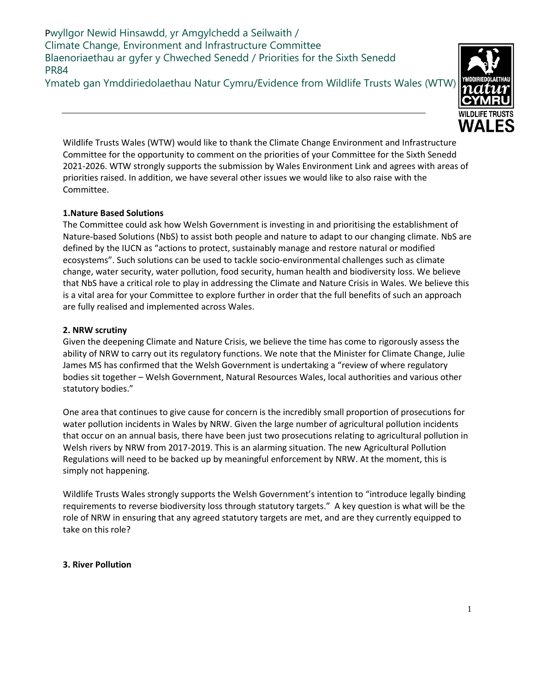Pwyllgor Newid Hinsawdd, yr Amgylchedd a Seilwaith / Climate Change, Environment and Infrastructure Committee Blaenoriaethau ar gyfer y Chweched Senedd / Priorities for the Sixth Senedd PR84

Ymateb gan Ymddiriedolaethau Natur Cymru/Evidence from Wildlife Trusts Wales (WTW)



Wildlife Trusts Wales (WTW) would like to thank the Climate Change Environment and Infrastructure Committee for the opportunity to comment on the priorities of your Committee for the Sixth Senedd 2021-2026. WTW strongly supports the submission by Wales Environment Link and agrees with areas of priorities raised. In addition, we have several other issues we would like to also raise with the Committee.

# **1.Nature Based Solutions**

The Committee could ask how Welsh Government is investing in and prioritising the establishment of Nature-based Solutions (NbS) to assist both people and nature to adapt to our changing climate. NbS are defined by the IUCN as "actions to protect, sustainably manage and restore natural or modified ecosystems". Such solutions can be used to tackle socio-environmental challenges such as climate change, water security, water pollution, food security, human health and biodiversity loss. We believe that NbS have a critical role to play in addressing the Climate and Nature Crisis in Wales. We believe this is a vital area for your Committee to explore further in order that the full benefits of such an approach are fully realised and implemented across Wales.

## **2. NRW scrutiny**

Given the deepening Climate and Nature Crisis, we believe the time has come to rigorously assess the ability of NRW to carry out its regulatory functions. We note that the Minister for Climate Change, Julie James MS has confirmed that the Welsh Government is undertaking a "review of where regulatory bodies sit together – Welsh Government, Natural Resources Wales, local authorities and various other statutory bodies."

One area that continues to give cause for concern is the incredibly small proportion of prosecutions for water pollution incidents in Wales by NRW. Given the large number of agricultural pollution incidents that occur on an annual basis, there have been just two prosecutions relating to agricultural pollution in Welsh rivers by NRW from 2017-2019. This is an alarming situation. The new Agricultural Pollution Regulations will need to be backed up by meaningful enforcement by NRW. At the moment, this is simply not happening.

Wildlife Trusts Wales strongly supports the Welsh Government's intention to "introduce legally binding requirements to reverse biodiversity loss through statutory targets." A key question is what will be the role of NRW in ensuring that any agreed statutory targets are met, and are they currently equipped to take on this role?

## **3. River Pollution**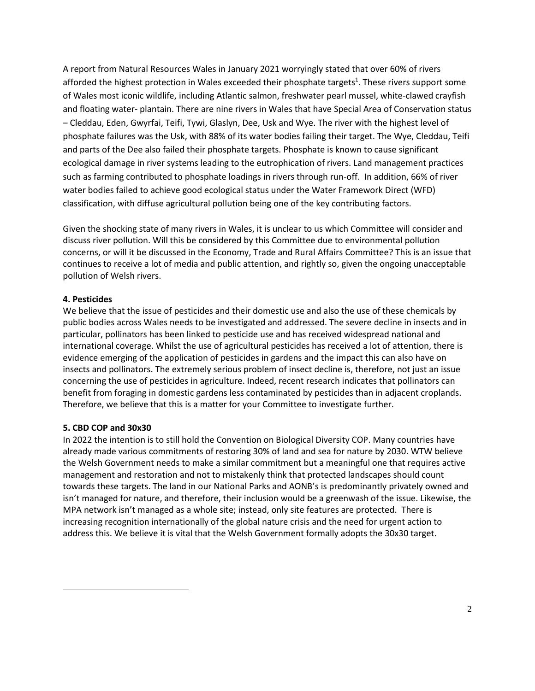A report from Natural Resources Wales in January 2021 worryingly stated that over 60% of rivers afforded the highest protection in Wales exceeded their phosphate targets<sup>1</sup>. These rivers support some of Wales most iconic wildlife, including Atlantic salmon, freshwater pearl mussel, white-clawed crayfish and floating water- plantain. There are nine rivers in Wales that have Special Area of Conservation status – Cleddau, Eden, Gwyrfai, Teifi, Tywi, Glaslyn, Dee, Usk and Wye. The river with the highest level of phosphate failures was the Usk, with 88% of its water bodies failing their target. The Wye, Cleddau, Teifi and parts of the Dee also failed their phosphate targets. Phosphate is known to cause significant ecological damage in river systems leading to the eutrophication of rivers. Land management practices such as farming contributed to phosphate loadings in rivers through run-off. In addition, 66% of river water bodies failed to achieve good ecological status under the Water Framework Direct (WFD) classification, with diffuse agricultural pollution being one of the key contributing factors.

Given the shocking state of many rivers in Wales, it is unclear to us which Committee will consider and discuss river pollution. Will this be considered by this Committee due to environmental pollution concerns, or will it be discussed in the Economy, Trade and Rural Affairs Committee? This is an issue that continues to receive a lot of media and public attention, and rightly so, given the ongoing unacceptable pollution of Welsh rivers.

### **4. Pesticides**

We believe that the issue of pesticides and their domestic use and also the use of these chemicals by public bodies across Wales needs to be investigated and addressed. The severe decline in insects and in particular, pollinators has been linked to pesticide use and has received widespread national and international coverage. Whilst the use of agricultural pesticides has received a lot of attention, there is evidence emerging of the application of pesticides in gardens and the impact this can also have on insects and pollinators. The extremely serious problem of insect decline is, therefore, not just an issue concerning the use of pesticides in agriculture. Indeed, recent research indicates that pollinators can benefit from foraging in domestic gardens less contaminated by pesticides than in adjacent croplands. Therefore, we believe that this is a matter for your Committee to investigate further.

### **5. CBD COP and 30x30**

In 2022 the intention is to still hold the Convention on Biological Diversity COP. Many countries have already made various commitments of restoring 30% of land and sea for nature by 2030. WTW believe the Welsh Government needs to make a similar commitment but a meaningful one that requires active management and restoration and not to mistakenly think that protected landscapes should count towards these targets. The land in our National Parks and AONB's is predominantly privately owned and isn't managed for nature, and therefore, their inclusion would be a greenwash of the issue. Likewise, the MPA network isn't managed as a whole site; instead, only site features are protected. There is increasing recognition internationally of the global nature crisis and the need for urgent action to address this. We believe it is vital that the Welsh Government formally adopts the 30x30 target.